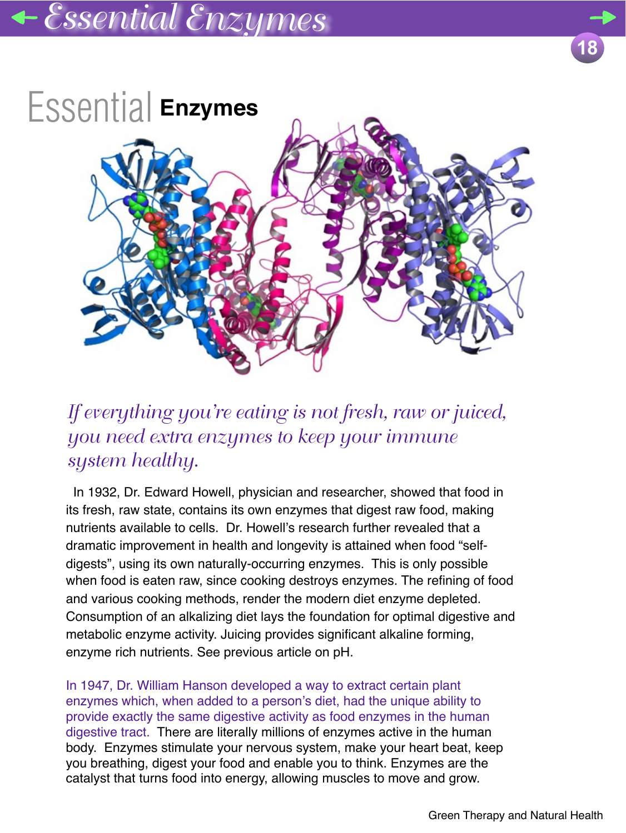

## *If everything you're eating is not fresh, raw or juiced, you need extra enzymes to keep your immune system healthy.*

 In 1932, Dr. Edward Howell, physician and researcher, showed that food in its fresh, raw state, contains its own enzymes that digest raw food, making nutrients available to cells. Dr. Howell's research further revealed that a dramatic improvement in health and longevity is attained when food "selfdigests", using its own naturally-occurring enzymes. This is only possible when food is eaten raw, since cooking destroys enzymes. The refining of food and various cooking methods, render the modern diet enzyme depleted. Consumption of an alkalizing diet lays the foundation for optimal digestive and metabolic enzyme activity. Juicing provides significant alkaline forming, enzyme rich nutrients. See previous article on pH.

In 1947, Dr. William Hanson developed a way to extract certain plant enzymes which, when added to a person's diet, had the unique ability to provide exactly the same digestive activity as food enzymes in the human digestive tract. There are literally millions of enzymes active in the human body. Enzymes stimulate your nervous system, make your heart beat, keep you breathing, digest your food and enable you to think. Enzymes are the catalyst that turns food into energy, allowing muscles to move and grow.

**18**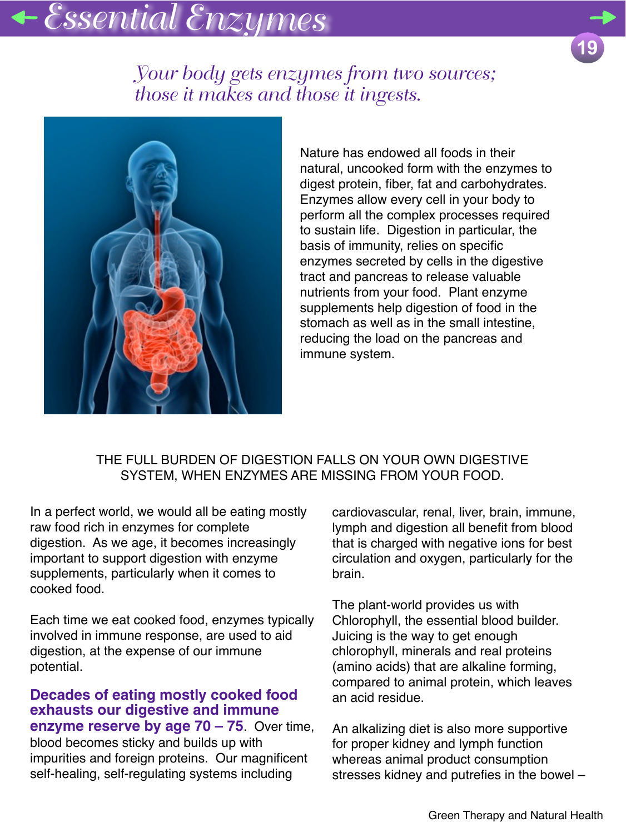## *Essential Enzymes*



### *Your body gets enzymes from two sources; those it makes and those it ingests.*



Nature has endowed all foods in their natural, uncooked form with the enzymes to digest protein, fiber, fat and carbohydrates. Enzymes allow every cell in your body to perform all the complex processes required to sustain life. Digestion in particular, the basis of immunity, relies on specific enzymes secreted by cells in the digestive tract and pancreas to release valuable nutrients from your food. Plant enzyme supplements help digestion of food in the stomach as well as in the small intestine, reducing the load on the pancreas and immune system.

#### THE FULL BURDEN OF DIGESTION FALLS ON YOUR OWN DIGESTIVE SYSTEM, WHEN ENZYMES ARE MISSING FROM YOUR FOOD.

In a perfect world, we would all be eating mostly raw food rich in enzymes for complete digestion. As we age, it becomes increasingly important to support digestion with enzyme supplements, particularly when it comes to cooked food.

Each time we eat cooked food, enzymes typically involved in immune response, are used to aid digestion, at the expense of our immune potential.

#### **Decades of eating mostly cooked food exhausts our digestive and immune enzyme reserve by age 70 – 75**. Over time,

blood becomes sticky and builds up with impurities and foreign proteins. Our magnificent self-healing, self-regulating systems including

cardiovascular, renal, liver, brain, immune, lymph and digestion all benefit from blood that is charged with negative ions for best circulation and oxygen, particularly for the brain.

The plant-world provides us with Chlorophyll, the essential blood builder. Juicing is the way to get enough chlorophyll, minerals and real proteins (amino acids) that are alkaline forming, compared to animal protein, which leaves an acid residue.

An alkalizing diet is also more supportive for proper kidney and lymph function whereas animal product consumption stresses kidney and putrefies in the bowel –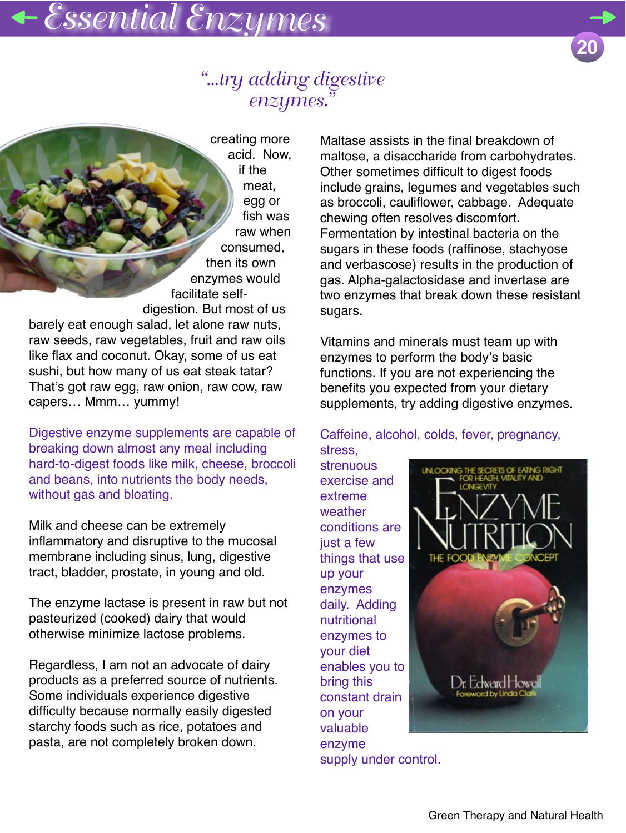## *"...try adding digestive enzymes."*

creating more acid. Now, if the meat, egg or fish was raw when consumed, then its own enzymes would facilitate selfdigestion. But most of us barely eat enough salad, let alone raw nuts, raw seeds, raw vegetables, fruit and raw oils like flax and coconut. Okay, some of us eat sushi, but how many of us eat steak tatar? That's got raw egg, raw onion, raw cow, raw

Digestive enzyme supplements are capable of breaking down almost any meal including hard-to-digest foods like milk, cheese, broccoli and beans, into nutrients the body needs, without gas and bloating.

capers… Mmm… yummy!

Milk and cheese can be extremely inflammatory and disruptive to the mucosal membrane including sinus, lung, digestive tract, bladder, prostate, in young and old.

The enzyme lactase is present in raw but not pasteurized (cooked) dairy that would otherwise minimize lactose problems.

Regardless, I am not an advocate of dairy products as a preferred source of nutrients. Some individuals experience digestive difficulty because normally easily digested starchy foods such as rice, potatoes and pasta, are not completely broken down.

Maltase assists in the final breakdown of maltose, a disaccharide from carbohydrates. Other sometimes difficult to digest foods include grains, legumes and vegetables such as broccoli, cauliflower, cabbage. Adequate chewing often resolves discomfort. Fermentation by intestinal bacteria on the sugars in these foods (raffinose, stachyose and verbascose) results in the production of gas. Alpha-galactosidase and invertase are two enzymes that break down these resistant sugars.

Vitamins and minerals must team up with enzymes to perform the body's basic functions. If you are not experiencing the benefits you expected from your dietary supplements, try adding digestive enzymes.

Caffeine, alcohol, colds, fever, pregnancy, stress,

strenuous exercise and extreme weather conditions are just a few things that use up your enzymes daily. Adding nutritional enzymes to your diet enables you to bring this constant drain on your valuable enzyme supply under control.